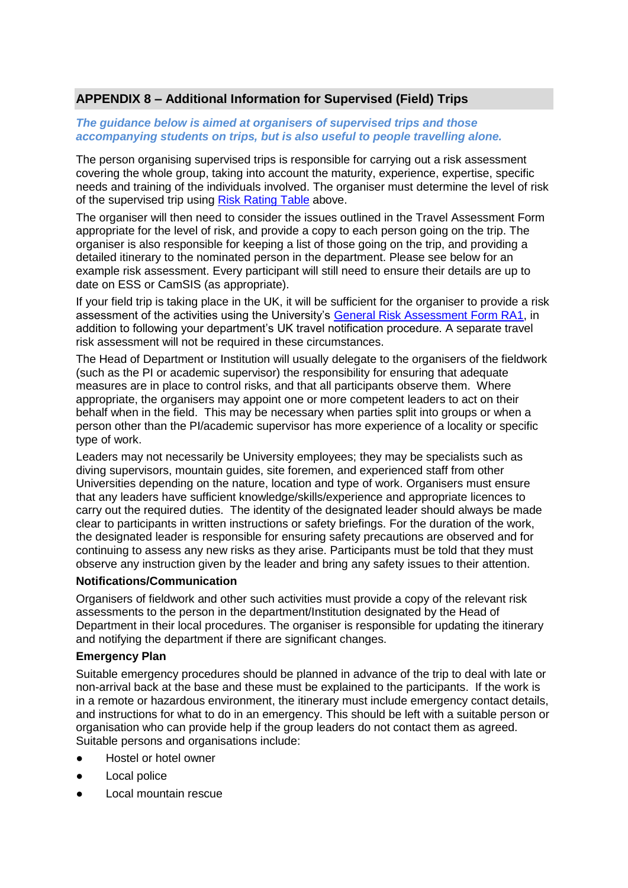# **APPENDIX 8 – Additional Information for Supervised (Field) Trips**

### *The guidance below is aimed at organisers of supervised trips and those accompanying students on trips, but is also useful to people travelling alone.*

The person organising supervised trips is responsible for carrying out a risk assessment covering the whole group, taking into account the maturity, experience, expertise, specific needs and training of the individuals involved. The organiser must determine the level of risk of the supervised trip using Risk Rating Table above.

The organiser will then need to consider the issues outlined in the Travel Assessment Form appropriate for the level of risk, and provide a copy to each person going on the trip. The organiser is also responsible for keeping a list of those going on the trip, and providing a detailed itinerary to the nominated person in the department. Please see below for an example risk assessment. Every participant will still need to ensure their details are up to date on ESS or CamSIS (as appropriate).

If your field trip is taking place in the UK, it will be sufficient for the organiser to provide a risk assessment of the activities using the University's [General Risk Assessment Form RA1,](https://www.safety.admin.cam.ac.uk/publications/hsd045m-risk-assessment-forms) in addition to following your department's UK travel notification procedure. A separate travel risk assessment will not be required in these circumstances.

The Head of Department or Institution will usually delegate to the organisers of the fieldwork (such as the PI or academic supervisor) the responsibility for ensuring that adequate measures are in place to control risks, and that all participants observe them. Where appropriate, the organisers may appoint one or more competent leaders to act on their behalf when in the field. This may be necessary when parties split into groups or when a person other than the PI/academic supervisor has more experience of a locality or specific type of work.

Leaders may not necessarily be University employees; they may be specialists such as diving supervisors, mountain guides, site foremen, and experienced staff from other Universities depending on the nature, location and type of work. Organisers must ensure that any leaders have sufficient knowledge/skills/experience and appropriate licences to carry out the required duties. The identity of the designated leader should always be made clear to participants in written instructions or safety briefings. For the duration of the work, the designated leader is responsible for ensuring safety precautions are observed and for continuing to assess any new risks as they arise. Participants must be told that they must observe any instruction given by the leader and bring any safety issues to their attention.

#### **Notifications/Communication**

Organisers of fieldwork and other such activities must provide a copy of the relevant risk assessments to the person in the department/Institution designated by the Head of Department in their local procedures. The organiser is responsible for updating the itinerary and notifying the department if there are significant changes.

#### **Emergency Plan**

Suitable emergency procedures should be planned in advance of the trip to deal with late or non-arrival back at the base and these must be explained to the participants. If the work is in a remote or hazardous environment, the itinerary must include emergency contact details, and instructions for what to do in an emergency. This should be left with a suitable person or organisation who can provide help if the group leaders do not contact them as agreed. Suitable persons and organisations include:

- Hostel or hotel owner
- **Local police**
- Local mountain rescue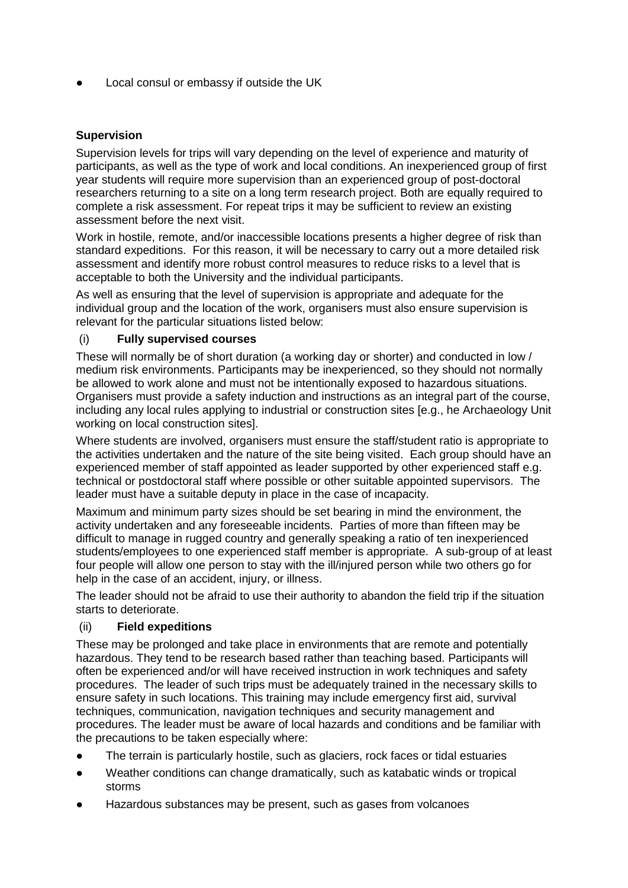Local consul or embassy if outside the UK

# **Supervision**

Supervision levels for trips will vary depending on the level of experience and maturity of participants, as well as the type of work and local conditions. An inexperienced group of first year students will require more supervision than an experienced group of post-doctoral researchers returning to a site on a long term research project. Both are equally required to complete a risk assessment. For repeat trips it may be sufficient to review an existing assessment before the next visit.

Work in hostile, remote, and/or inaccessible locations presents a higher degree of risk than standard expeditions. For this reason, it will be necessary to carry out a more detailed risk assessment and identify more robust control measures to reduce risks to a level that is acceptable to both the University and the individual participants.

As well as ensuring that the level of supervision is appropriate and adequate for the individual group and the location of the work, organisers must also ensure supervision is relevant for the particular situations listed below:

#### (i) **Fully supervised courses**

These will normally be of short duration (a working day or shorter) and conducted in low / medium risk environments. Participants may be inexperienced, so they should not normally be allowed to work alone and must not be intentionally exposed to hazardous situations. Organisers must provide a safety induction and instructions as an integral part of the course, including any local rules applying to industrial or construction sites [e.g., he Archaeology Unit working on local construction sites].

Where students are involved, organisers must ensure the staff/student ratio is appropriate to the activities undertaken and the nature of the site being visited. Each group should have an experienced member of staff appointed as leader supported by other experienced staff e.g. technical or postdoctoral staff where possible or other suitable appointed supervisors. The leader must have a suitable deputy in place in the case of incapacity.

Maximum and minimum party sizes should be set bearing in mind the environment, the activity undertaken and any foreseeable incidents. Parties of more than fifteen may be difficult to manage in rugged country and generally speaking a ratio of ten inexperienced students/employees to one experienced staff member is appropriate. A sub-group of at least four people will allow one person to stay with the ill/injured person while two others go for help in the case of an accident, injury, or illness.

The leader should not be afraid to use their authority to abandon the field trip if the situation starts to deteriorate.

#### (ii) **Field expeditions**

These may be prolonged and take place in environments that are remote and potentially hazardous. They tend to be research based rather than teaching based. Participants will often be experienced and/or will have received instruction in work techniques and safety procedures. The leader of such trips must be adequately trained in the necessary skills to ensure safety in such locations. This training may include emergency first aid, survival techniques, communication, navigation techniques and security management and procedures. The leader must be aware of local hazards and conditions and be familiar with the precautions to be taken especially where:

- The terrain is particularly hostile, such as glaciers, rock faces or tidal estuaries
- Weather conditions can change dramatically, such as katabatic winds or tropical storms
- Hazardous substances may be present, such as gases from volcanoes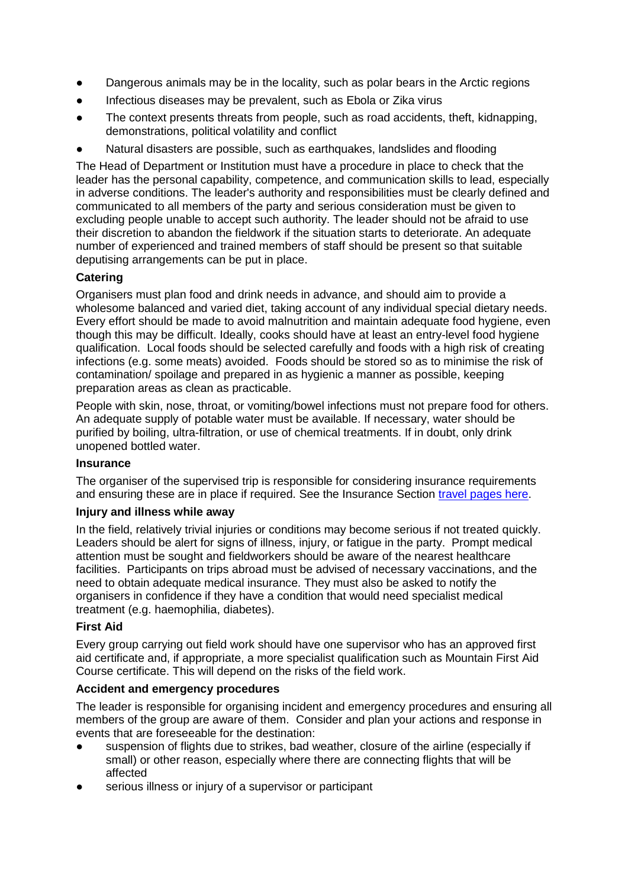- Dangerous animals may be in the locality, such as polar bears in the Arctic regions
- Infectious diseases may be prevalent, such as Ebola or Zika virus
- The context presents threats from people, such as road accidents, theft, kidnapping, demonstrations, political volatility and conflict
- Natural disasters are possible, such as earthquakes, landslides and flooding

The Head of Department or Institution must have a procedure in place to check that the leader has the personal capability, competence, and communication skills to lead, especially in adverse conditions. The leader's authority and responsibilities must be clearly defined and communicated to all members of the party and serious consideration must be given to excluding people unable to accept such authority. The leader should not be afraid to use their discretion to abandon the fieldwork if the situation starts to deteriorate. An adequate number of experienced and trained members of staff should be present so that suitable deputising arrangements can be put in place.

# **Catering**

Organisers must plan food and drink needs in advance, and should aim to provide a wholesome balanced and varied diet, taking account of any individual special dietary needs. Every effort should be made to avoid malnutrition and maintain adequate food hygiene, even though this may be difficult. Ideally, cooks should have at least an entry-level food hygiene qualification. Local foods should be selected carefully and foods with a high risk of creating infections (e.g. some meats) avoided. Foods should be stored so as to minimise the risk of contamination/ spoilage and prepared in as hygienic a manner as possible, keeping preparation areas as clean as practicable.

People with skin, nose, throat, or vomiting/bowel infections must not prepare food for others. An adequate supply of potable water must be available. If necessary, water should be purified by boiling, ultra-filtration, or use of chemical treatments. If in doubt, only drink unopened bottled water.

#### **Insurance**

The organiser of the supervised trip is responsible for considering insurance requirements and ensuring these are in place if required. See the Insurance Section [travel pages here.](https://www.insurance.admin.cam.ac.uk/travel-insurance)

#### **Injury and illness while away**

In the field, relatively trivial injuries or conditions may become serious if not treated quickly. Leaders should be alert for signs of illness, injury, or fatigue in the party. Prompt medical attention must be sought and fieldworkers should be aware of the nearest healthcare facilities. Participants on trips abroad must be advised of necessary vaccinations, and the need to obtain adequate medical insurance. They must also be asked to notify the organisers in confidence if they have a condition that would need specialist medical treatment (e.g. haemophilia, diabetes).

#### **First Aid**

Every group carrying out field work should have one supervisor who has an approved first aid certificate and, if appropriate, a more specialist qualification such as Mountain First Aid Course certificate. This will depend on the risks of the field work.

#### **Accident and emergency procedures**

The leader is responsible for organising incident and emergency procedures and ensuring all members of the group are aware of them. Consider and plan your actions and response in events that are foreseeable for the destination:

- suspension of flights due to strikes, bad weather, closure of the airline (especially if small) or other reason, especially where there are connecting flights that will be affected
- serious illness or injury of a supervisor or participant